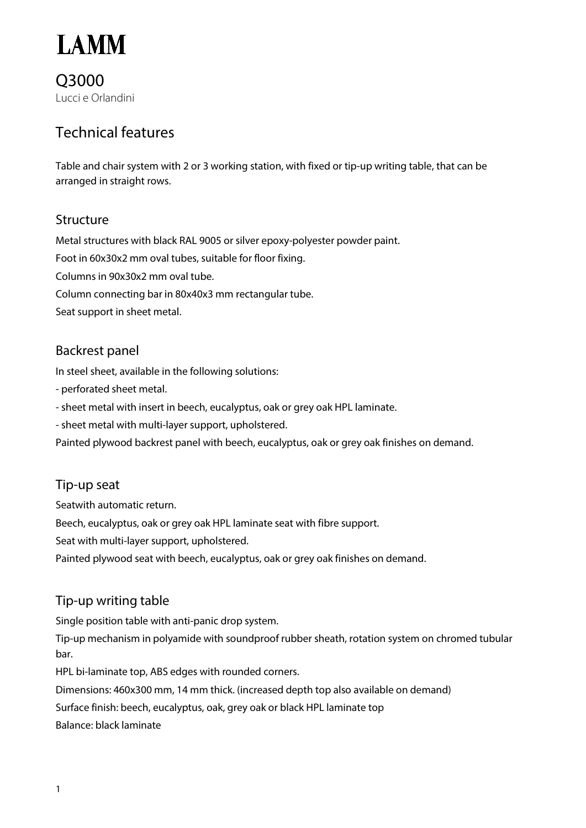

Q3000 Lucci e Orlandini

# Technical features

Table and chair system with 2 or 3 working station, with fixed or tip-up writing table, that can be arranged in straight rows.

### Structure

Metal structures with black RAL 9005 or silver epoxy-polyester powder paint. Foot in 60x30x2 mm oval tubes, suitable for floor fixing. Columns in 90x30x2 mm oval tube. Column connecting bar in 80x40x3 mm rectangular tube. Seat support in sheet metal.

## Backrest panel

In steel sheet, available in the following solutions:

- perforated sheet metal.

- sheet metal with insert in beech, eucalyptus, oak or grey oak HPL laminate.

- sheet metal with multi-layer support, upholstered.

Painted plywood backrest panel with beech, eucalyptus, oak or grey oak finishes on demand.

### Tip-up seat

Seatwith automatic return.

Beech, eucalyptus, oak or grey oak HPL laminate seat with fibre support.

Seat with multi-layer support, upholstered.

Painted plywood seat with beech, eucalyptus, oak or grey oak finishes on demand.

## Tip-up writing table

Single position table with anti-panic drop system.

Tip-up mechanism in polyamide with soundproof rubber sheath, rotation system on chromed tubular bar.

HPL bi-laminate top, ABS edges with rounded corners.

Dimensions: 460x300 mm, 14 mm thick. (increased depth top also available on demand)

Surface finish: beech, eucalyptus, oak, grey oak or black HPL laminate top

Balance: black laminate